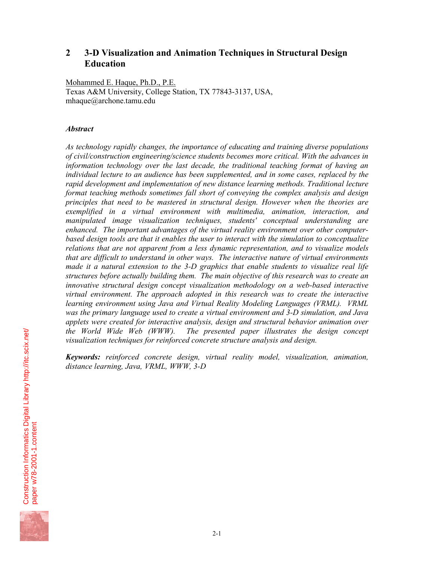# **2 3-D Visualization and Animation Techniques in Structural Design Education**

Mohammed E. Haque, Ph.D., P.E. Texas A&M University, College Station, TX 77843-3137, USA, mhaque@archone.tamu.edu

### *Abstract*

*As technology rapidly changes, the importance of educating and training diverse populations of civil/construction engineering/science students becomes more critical. With the advances in information technology over the last decade, the traditional teaching format of having an individual lecture to an audience has been supplemented, and in some cases, replaced by the rapid development and implementation of new distance learning methods. Traditional lecture format teaching methods sometimes fall short of conveying the complex analysis and design principles that need to be mastered in structural design. However when the theories are exemplified in a virtual environment with multimedia, animation, interaction, and manipulated image visualization techniques, students' conceptual understanding are enhanced. The important advantages of the virtual reality environment over other computerbased design tools are that it enables the user to interact with the simulation to conceptualize relations that are not apparent from a less dynamic representation, and to visualize models that are difficult to understand in other ways. The interactive nature of virtual environments made it a natural extension to the 3-D graphics that enable students to visualize real life structures before actually building them. The main objective of this research was to create an innovative structural design concept visualization methodology on a web-based interactive virtual environment. The approach adopted in this research was to create the interactive learning environment using Java and Virtual Reality Modeling Languages (VRML). VRML was the primary language used to create a virtual environment and 3-D simulation, and Java applets were created for interactive analysis, design and structural behavior animation over the World Wide Web (WWW). The presented paper illustrates the design concept visualization techniques for reinforced concrete structure analysis and design.* 

*Keywords: reinforced concrete design, virtual reality model, visualization, animation, distance learning, Java, VRML, WWW, 3-D* 

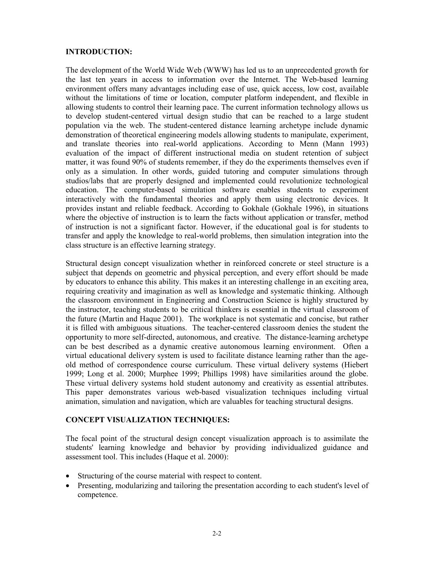#### **INTRODUCTION:**

The development of the World Wide Web (WWW) has led us to an unprecedented growth for the last ten years in access to information over the Internet. The Web-based learning environment offers many advantages including ease of use, quick access, low cost, available without the limitations of time or location, computer platform independent, and flexible in allowing students to control their learning pace. The current information technology allows us to develop student-centered virtual design studio that can be reached to a large student population via the web. The student-centered distance learning archetype include dynamic demonstration of theoretical engineering models allowing students to manipulate, experiment, and translate theories into real-world applications. According to Menn (Mann 1993) evaluation of the impact of different instructional media on student retention of subject matter, it was found 90% of students remember, if they do the experiments themselves even if only as a simulation. In other words, guided tutoring and computer simulations through studios/labs that are properly designed and implemented could revolutionize technological education. The computer-based simulation software enables students to experiment interactively with the fundamental theories and apply them using electronic devices. It provides instant and reliable feedback. According to Gokhale (Gokhale 1996), in situations where the objective of instruction is to learn the facts without application or transfer, method of instruction is not a significant factor. However, if the educational goal is for students to transfer and apply the knowledge to real-world problems, then simulation integration into the class structure is an effective learning strategy.

Structural design concept visualization whether in reinforced concrete or steel structure is a subject that depends on geometric and physical perception, and every effort should be made by educators to enhance this ability. This makes it an interesting challenge in an exciting area, requiring creativity and imagination as well as knowledge and systematic thinking. Although the classroom environment in Engineering and Construction Science is highly structured by the instructor, teaching students to be critical thinkers is essential in the virtual classroom of the future (Martin and Haque 2001). The workplace is not systematic and concise, but rather it is filled with ambiguous situations. The teacher-centered classroom denies the student the opportunity to more self-directed, autonomous, and creative. The distance-learning archetype can be best described as a dynamic creative autonomous learning environment. Often a virtual educational delivery system is used to facilitate distance learning rather than the ageold method of correspondence course curriculum. These virtual delivery systems (Hiebert 1999; Long et al. 2000; Murphee 1999; Phillips 1998) have similarities around the globe. These virtual delivery systems hold student autonomy and creativity as essential attributes. This paper demonstrates various web-based visualization techniques including virtual animation, simulation and navigation, which are valuables for teaching structural designs.

# **CONCEPT VISUALIZATION TECHNIQUES:**

The focal point of the structural design concept visualization approach is to assimilate the students' learning knowledge and behavior by providing individualized guidance and assessment tool. This includes (Haque et al. 2000):

- Structuring of the course material with respect to content.
- Presenting, modularizing and tailoring the presentation according to each student's level of competence.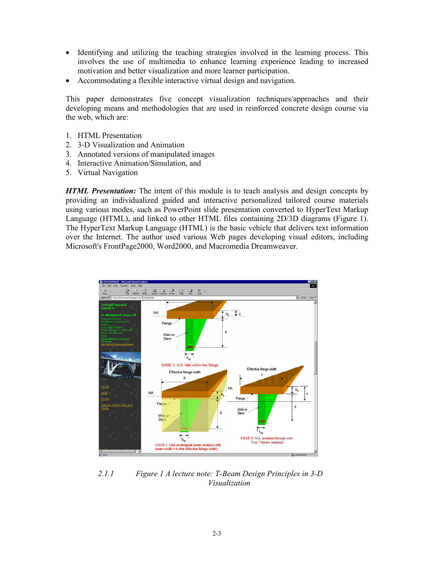- Identifying and utilizing the teaching strategies involved in the learning process. This involves the use of multimedia to enhance learning experience leading to increased motivation and better visualization and more learner participation.
- Accommodating a flexible interactive virtual design and navigation.

This paper demonstrates five concept visualization techniques/approaches and their developing means and methodologies that are used in reinforced concrete design course via the web, which are:

- 1. HTML Presentation
- 2. 3-D Visualization and Animation
- 3. Annotated versions of manipulated images
- 4. Interactive Animation/Simulation, and
- 5. Virtual Navigation

*HTML Presentation:* The intent of this module is to teach analysis and design concepts by providing an individualized guided and interactive personalized tailored course materials using various modes, such as PowerPoint slide presentation converted to HyperText Markup Language (HTML), and linked to other HTML files containing 2D/3D diagrams (Figure 1). The HyperText Markup Language (HTML) is the basic vehicle that delivers text information over the Internet. The author used various Web pages developing visual editors, including Microsoft's FrontPage2000, Word2000, and Macromedia Dreamweaver.



*2.1.1 Figure 1 A lecture note: T-Beam Design Principles in 3-D Visualization*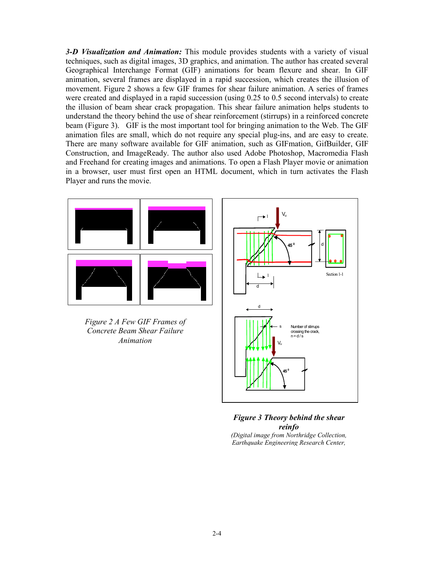*3-D Visualization and Animation:* This module provides students with a variety of visual techniques, such as digital images, 3D graphics, and animation. The author has created several Geographical Interchange Format (GIF) animations for beam flexure and shear. In GIF animation, several frames are displayed in a rapid succession, which creates the illusion of movement. Figure 2 shows a few GIF frames for shear failure animation. A series of frames were created and displayed in a rapid succession (using 0.25 to 0.5 second intervals) to create the illusion of beam shear crack propagation. This shear failure animation helps students to understand the theory behind the use of shear reinforcement (stirrups) in a reinforced concrete beam (Figure 3). GIF is the most important tool for bringing animation to the Web. The GIF animation files are small, which do not require any special plug-ins, and are easy to create. There are many software available for GIF animation, such as GIFmation, GifBuilder, GIF Construction, and ImageReady. The author also used Adobe Photoshop, Macromedia Flash and Freehand for creating images and animations. To open a Flash Player movie or animation in a browser, user must first open an HTML document, which in turn activates the Flash Player and runs the movie.



*Figure 2 A Few GIF Frames of Concrete Beam Shear Failure Animation* 



#### *Figure 3 Theory behind the shear reinfo*

*(Digital image from Northridge Collection, Earthquake Engineering Research Center,*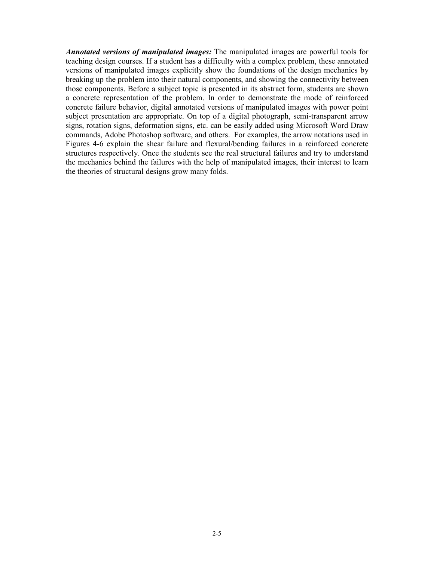*Annotated versions of manipulated images:* The manipulated images are powerful tools for teaching design courses. If a student has a difficulty with a complex problem, these annotated versions of manipulated images explicitly show the foundations of the design mechanics by breaking up the problem into their natural components, and showing the connectivity between those components. Before a subject topic is presented in its abstract form, students are shown a concrete representation of the problem. In order to demonstrate the mode of reinforced concrete failure behavior, digital annotated versions of manipulated images with power point subject presentation are appropriate. On top of a digital photograph, semi-transparent arrow signs, rotation signs, deformation signs, etc. can be easily added using Microsoft Word Draw commands, Adobe Photoshop software, and others. For examples, the arrow notations used in Figures 4-6 explain the shear failure and flexural/bending failures in a reinforced concrete structures respectively. Once the students see the real structural failures and try to understand the mechanics behind the failures with the help of manipulated images, their interest to learn the theories of structural designs grow many folds.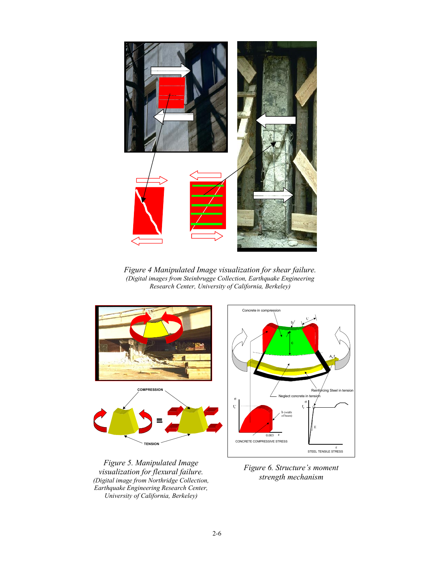

*Figure 4 Manipulated Image visualization for shear failure. (Digital images from Steinbrugge Collection, Earthquake Engineering Research Center, University of California, Berkeley)* 



*Figure 5. Manipulated Image visualization for flexural failure. (Digital image from Northridge Collection, Earthquake Engineering Research Center, University of California, Berkeley)*



*Figure 6. Structure's moment strength mechanism*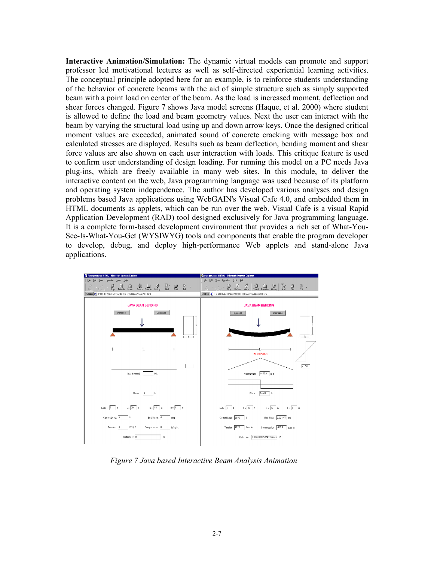**Interactive Animation/Simulation:** The dynamic virtual models can promote and support professor led motivational lectures as well as self-directed experiential learning activities. The conceptual principle adopted here for an example, is to reinforce students understanding of the behavior of concrete beams with the aid of simple structure such as simply supported beam with a point load on center of the beam. As the load is increased moment, deflection and shear forces changed. Figure 7 shows Java model screens (Haque, et al. 2000) where student is allowed to define the load and beam geometry values. Next the user can interact with the beam by varying the structural load using up and down arrow keys. Once the designed critical moment values are exceeded, animated sound of concrete cracking with message box and calculated stresses are displayed. Results such as beam deflection, bending moment and shear force values are also shown on each user interaction with loads. This critique feature is used to confirm user understanding of design loading. For running this model on a PC needs Java plug-ins, which are freely available in many web sites. In this module, to deliver the interactive content on the web, Java programming language was used because of its platform and operating system independence. The author has developed various analyses and design problems based Java applications using WebGAIN's Visual Cafe 4.0, and embedded them in HTML documents as applets, which can be run over the web. Visual Cafe is a visual Rapid Application Development (RAD) tool designed exclusively for Java programming language. It is a complete form-based development environment that provides a rich set of What-You-See-Is-What-You-Get (WYSIWYG) tools and components that enable the program developer to develop, debug, and deploy high-performance Web applets and stand-alone Java applications.



*Figure 7 Java based Interactive Beam Analysis Animation*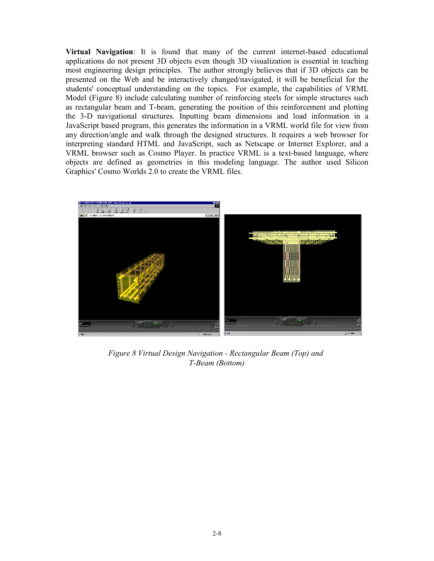**Virtual Navigation**: It is found that many of the current internet-based educational applications do not present 3D objects even though 3D visualization is essential in teaching most engineering design principles. The author strongly believes that if 3D objects can be presented on the Web and be interactively changed/navigated, it will be beneficial for the students' conceptual understanding on the topics. For example, the capabilities of VRML Model (Figure 8) include calculating number of reinforcing steels for simple structures such as rectangular beam and T-beam, generating the position of this reinforcement and plotting the 3-D navigational structures. Inputting beam dimensions and load information in a JavaScript based program, this generates the information in a VRML world file for view from any direction/angle and walk through the designed structures. It requires a web browser for interpreting standard HTML and JavaScript, such as Netscape or Internet Explorer, and a VRML browser such as Cosmo Player. In practice VRML is a text-based language, where objects are defined as geometries in this modeling language. The author used Silicon Graphics' Cosmo Worlds 2.0 to create the VRML files.



*Figure 8 Virtual Design Navigation - Rectangular Beam (Top) and T-Beam (Bottom)*